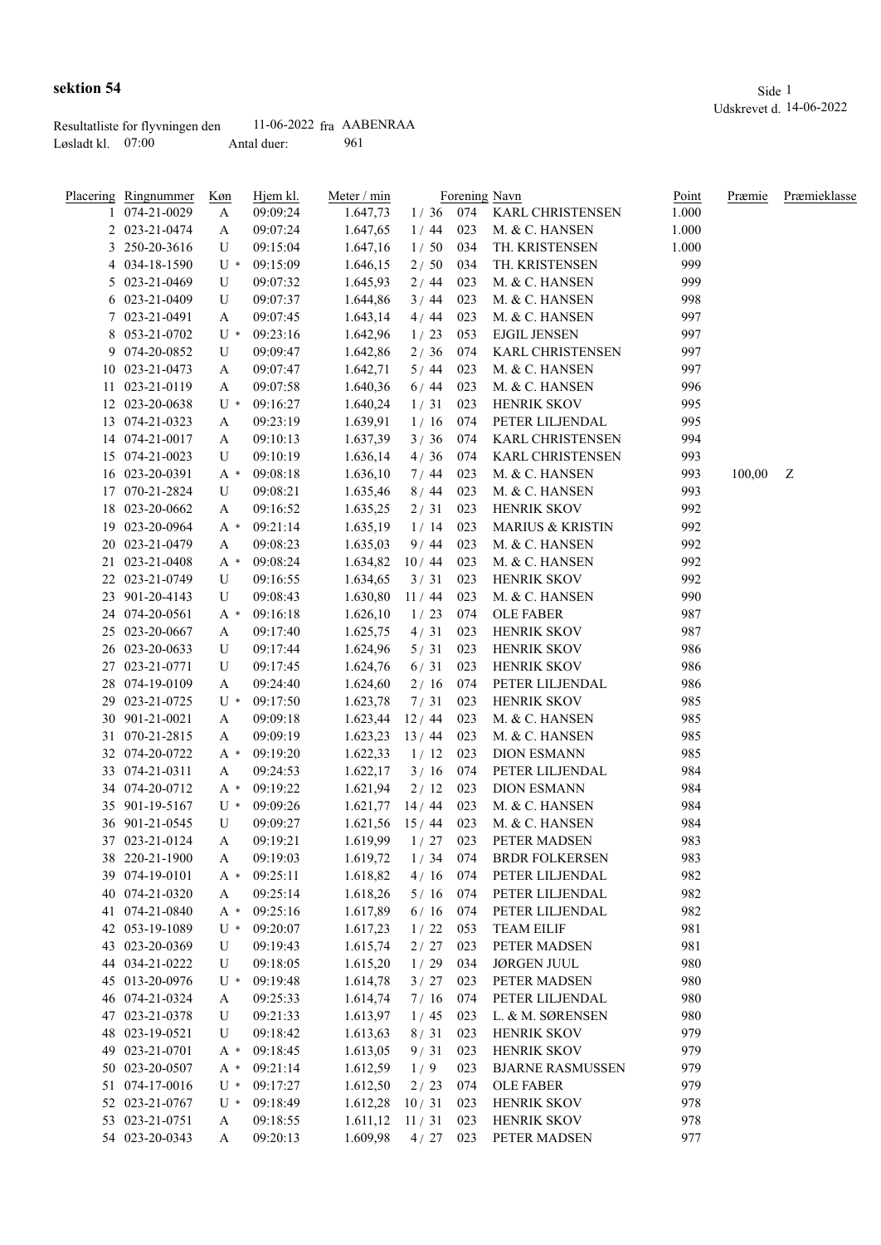|                     | Resultatliste for flyvningen den | $11-06-2022$ fra AABENRAA |     |
|---------------------|----------------------------------|---------------------------|-----|
| Løsladt kl. $07:00$ |                                  | Antal duer:               | 961 |

|     | Placering Ringnummer | Køn   | Hjem kl.             | Meter / min |        |     | Forening Navn               | Point | Præmie | Præmieklasse |
|-----|----------------------|-------|----------------------|-------------|--------|-----|-----------------------------|-------|--------|--------------|
|     | 074-21-0029          | A     | 09:09:24             | 1.647,73    |        |     | 1/36 074 KARL CHRISTENSEN   | 1.000 |        |              |
|     | 2 023-21-0474        | A     | 09:07:24             | 1.647,65    | 1/44   | 023 | M. & C. HANSEN              | 1.000 |        |              |
| 3   | 250-20-3616          | U     | 09:15:04             | 1.647,16    | 1/50   | 034 | TH. KRISTENSEN              | 1.000 |        |              |
|     | 4 034-18-1590        | $U^*$ | 09:15:09             | 1.646,15    | 2/50   | 034 | TH. KRISTENSEN              | 999   |        |              |
|     | 5 023-21-0469        | U     | 09:07:32             | 1.645,93    | 2/44   | 023 | M. & C. HANSEN              | 999   |        |              |
|     | 6 023-21-0409        | U     | 09:07:37             | 1.644,86    | 3/44   | 023 | M. & C. HANSEN              | 998   |        |              |
|     | 7 023-21-0491        | A     | 09:07:45             | 1.643,14    | 4/44   | 023 | M. & C. HANSEN              | 997   |        |              |
|     | 8 053-21-0702        | $U^*$ | 09:23:16             | 1.642,96    | 1/23   | 053 | <b>EJGIL JENSEN</b>         | 997   |        |              |
|     | 9 074-20-0852        | U     | 09:09:47             | 1.642,86    | $2/36$ | 074 | KARL CHRISTENSEN            | 997   |        |              |
|     | 10 023-21-0473       | A     | 09:07:47             | 1.642,71    | 5/44   | 023 | M. & C. HANSEN              | 997   |        |              |
|     | 11 023-21-0119       | A     | 09:07:58             | 1.640,36    | 6/44   | 023 | M. & C. HANSEN              | 996   |        |              |
|     | 12 023-20-0638       | $U^*$ | 09:16:27             | 1.640,24    | 1/31   | 023 | HENRIK SKOV                 | 995   |        |              |
|     | 13 074-21-0323       | A     | 09:23:19             | 1.639,91    | 1/16   | 074 | PETER LILJENDAL             | 995   |        |              |
|     | 14 074-21-0017       | A     | 09:10:13             | 1.637,39    | 3/36   | 074 | KARL CHRISTENSEN            | 994   |        |              |
|     | 15 074-21-0023       | U     | 09:10:19             | 1.636,14    | 4/36   | 074 | KARL CHRISTENSEN            | 993   |        |              |
|     | 16 023-20-0391       | A *   | 09:08:18             | 1.636,10    | 7/44   | 023 | M. & C. HANSEN              | 993   | 100,00 | Z            |
| 17  | 070-21-2824          | U     | 09:08:21             | 1.635,46    | 8/44   | 023 | M. & C. HANSEN              | 993   |        |              |
| 18  | 023-20-0662          | A     | 09:16:52             | 1.635,25    | 2/31   | 023 | HENRIK SKOV                 | 992   |        |              |
| 19  | 023-20-0964          | A *   | 09:21:14             | 1.635,19    | 1/14   | 023 | <b>MARIUS &amp; KRISTIN</b> | 992   |        |              |
|     | 20 023-21-0479       | A     | 09:08:23             | 1.635,03    | 9/44   | 023 | M. & C. HANSEN              | 992   |        |              |
|     | 21 023-21-0408       | $A^*$ |                      |             | 10/44  | 023 | M. & C. HANSEN              | 992   |        |              |
|     | 22 023-21-0749       | U     | 09:08:24<br>09:16:55 | 1.634,82    |        | 023 | <b>HENRIK SKOV</b>          | 992   |        |              |
|     |                      |       |                      | 1.634,65    | 3/31   |     |                             |       |        |              |
|     | 23 901-20-4143       | U     | 09:08:43             | 1.630,80    | 11/44  | 023 | M. & C. HANSEN              | 990   |        |              |
|     | 24 074-20-0561       | A *   | 09:16:18             | 1.626,10    | 1/23   | 074 | <b>OLE FABER</b>            | 987   |        |              |
|     | 25 023-20-0667       | A     | 09:17:40             | 1.625,75    | 4/31   | 023 | <b>HENRIK SKOV</b>          | 987   |        |              |
|     | 26 023-20-0633       | U     | 09:17:44             | 1.624,96    | 5/31   | 023 | HENRIK SKOV                 | 986   |        |              |
|     | 27 023-21-0771       | U     | 09:17:45             | 1.624,76    | 6/31   | 023 | HENRIK SKOV                 | 986   |        |              |
|     | 28 074-19-0109       | A     | 09:24:40             | 1.624,60    | 2/16   | 074 | PETER LILJENDAL             | 986   |        |              |
| 29. | 023-21-0725          | $U^*$ | 09:17:50             | 1.623,78    | 7/31   | 023 | HENRIK SKOV                 | 985   |        |              |
|     | 30 901-21-0021       | A     | 09:09:18             | 1.623,44    | 12/44  | 023 | M. & C. HANSEN              | 985   |        |              |
|     | 31 070-21-2815       | A     | 09:09:19             | 1.623,23    | 13/44  | 023 | M. & C. HANSEN              | 985   |        |              |
|     | 32 074-20-0722       | $A^*$ | 09:19:20             | 1.622,33    | 1/12   | 023 | <b>DION ESMANN</b>          | 985   |        |              |
|     | 33 074-21-0311       | A     | 09:24:53             | 1.622,17    | 3/16   | 074 | PETER LILJENDAL             | 984   |        |              |
|     | 34 074-20-0712       | $A^*$ | 09:19:22             | 1.621,94    | 2/12   | 023 | <b>DION ESMANN</b>          | 984   |        |              |
|     | 35 901-19-5167       | $U^*$ | 09:09:26             | 1.621,77    | 14/44  | 023 | M. & C. HANSEN              | 984   |        |              |
|     | 36 901-21-0545       | U     | 09:09:27             | 1.621,56    | 15/44  | 023 | M. & C. HANSEN              | 984   |        |              |
|     | 37 023-21-0124       | А     | 09:19:21             | 1.619,99    | 1/27   | 023 | PETER MADSEN                | 983   |        |              |
|     | 38 220-21-1900       | A     | 09:19:03             | 1.619,72    | 1/34   | 074 | <b>BRDR FOLKERSEN</b>       | 983   |        |              |
|     | 39 074-19-0101       | A *   | 09:25:11             | 1.618,82    | 4/16   | 074 | PETER LILJENDAL             | 982   |        |              |
|     | 40 074-21-0320       | A     | 09:25:14             | 1.618,26    | 5/16   | 074 | PETER LILJENDAL             | 982   |        |              |
|     | 41 074-21-0840       | A *   | 09:25:16             | 1.617,89    | 6/16   | 074 | PETER LILJENDAL             | 982   |        |              |
|     | 42 053-19-1089       | $U^*$ | 09:20:07             | 1.617,23    | 1/22   | 053 | <b>TEAM EILIF</b>           | 981   |        |              |
|     | 43 023-20-0369       | U     | 09:19:43             | 1.615,74    | 2/27   | 023 | PETER MADSEN                | 981   |        |              |
|     | 44 034-21-0222       | U     | 09:18:05             | 1.615,20    | 1/29   | 034 | <b>JØRGEN JUUL</b>          | 980   |        |              |
|     | 45 013-20-0976       | $U^*$ | 09:19:48             | 1.614,78    | 3/27   | 023 | PETER MADSEN                | 980   |        |              |
|     | 46 074-21-0324       | A     | 09:25:33             | 1.614,74    | 7/16   | 074 | PETER LILJENDAL             | 980   |        |              |
|     | 47 023-21-0378       | U     | 09:21:33             | 1.613,97    | 1/45   | 023 | L. & M. SØRENSEN            | 980   |        |              |
|     | 48 023-19-0521       | U     | 09:18:42             | 1.613,63    | 8/31   | 023 | HENRIK SKOV                 | 979   |        |              |
|     | 49 023-21-0701       | A *   | 09:18:45             | 1.613,05    | 9/31   | 023 | HENRIK SKOV                 | 979   |        |              |
|     | 50 023-20-0507       | $A^*$ | 09:21:14             | 1.612,59    | 1/9    | 023 | <b>BJARNE RASMUSSEN</b>     | 979   |        |              |
|     | 51 074-17-0016       | $U^*$ | 09:17:27             | 1.612,50    | 2/23   | 074 | <b>OLE FABER</b>            | 979   |        |              |
|     | 52 023-21-0767       | $U^*$ | 09:18:49             | 1.612,28    | 10/31  | 023 | HENRIK SKOV                 | 978   |        |              |
|     | 53 023-21-0751       | A     | 09:18:55             | 1.611,12    | 11/31  | 023 | HENRIK SKOV                 | 978   |        |              |
|     | 54 023-20-0343       | A     | 09:20:13             | 1.609,98    | 4/27   | 023 | PETER MADSEN                | 977   |        |              |
|     |                      |       |                      |             |        |     |                             |       |        |              |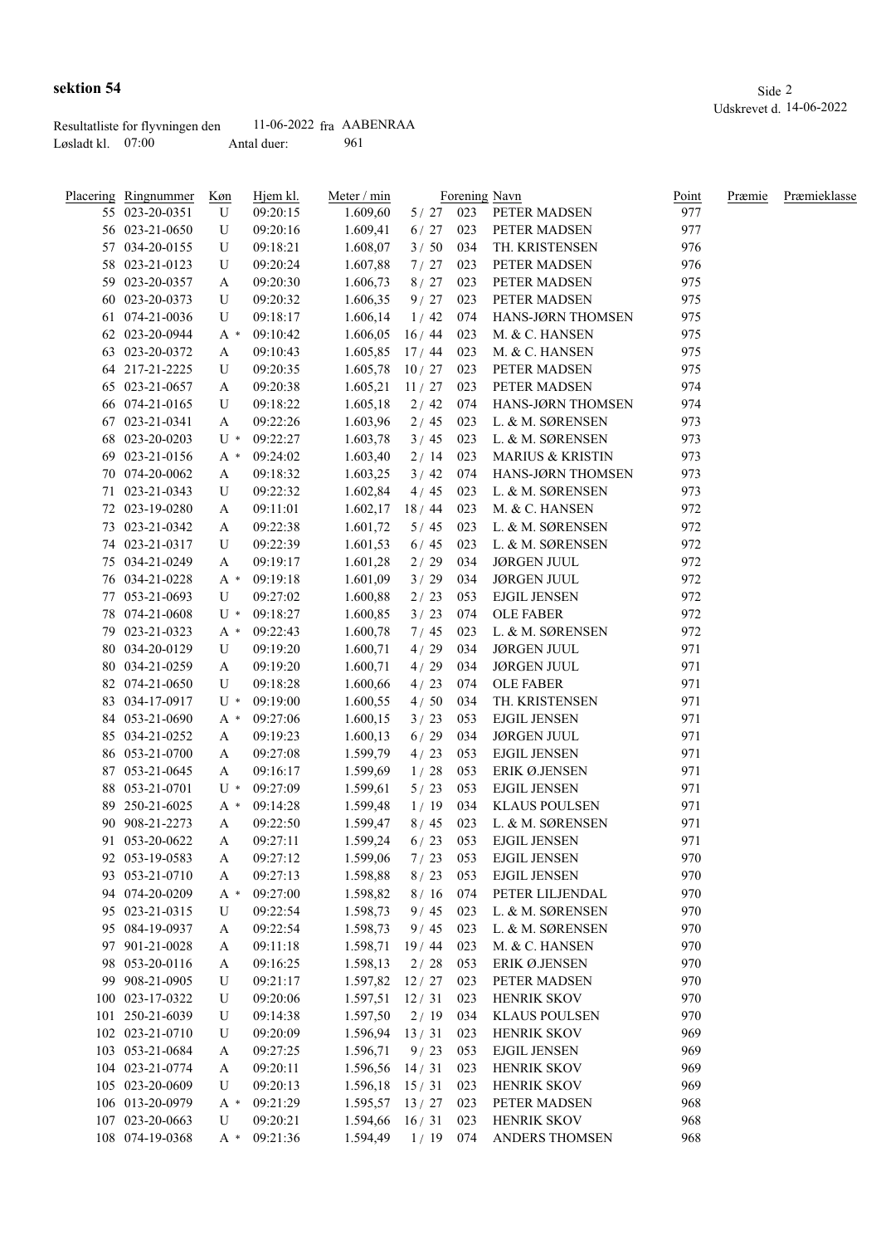| <u>Placering Ringnummer</u> | Køn   | Hjem kl. | Meter / min      |            |     | Forening Navn                            | Point | Præmie | Præmieklasse |
|-----------------------------|-------|----------|------------------|------------|-----|------------------------------------------|-------|--------|--------------|
| 55 023-20-0351              | U     | 09:20:15 | 1.609,60         | $5/27$ 023 |     | PETER MADSEN                             | 977   |        |              |
| 56 023-21-0650              | U     | 09:20:16 | 1.609,41         | 6/27       | 023 | PETER MADSEN                             | 977   |        |              |
| 57 034-20-0155              | U     | 09:18:21 | 1.608,07         | 3/50       | 034 | TH. KRISTENSEN                           | 976   |        |              |
| 58 023-21-0123              | U     | 09:20:24 | 1.607,88         | 7/27       | 023 | PETER MADSEN                             | 976   |        |              |
| 59 023-20-0357              | A     | 09:20:30 | 1.606,73         | 8/27       | 023 | PETER MADSEN                             | 975   |        |              |
| 60 023-20-0373              | U     | 09:20:32 | 1.606,35         | 9/27       | 023 | PETER MADSEN                             | 975   |        |              |
| 61 074-21-0036              | U     | 09:18:17 | 1.606,14         | 1/42       | 074 | HANS-JØRN THOMSEN                        | 975   |        |              |
| 62 023-20-0944              | A *   | 09:10:42 | 1.606,05         | 16/44      | 023 | M. & C. HANSEN                           | 975   |        |              |
| 63 023-20-0372              | A     | 09:10:43 | 1.605,85         | 17/44      | 023 | M. & C. HANSEN                           | 975   |        |              |
| 64 217-21-2225              | U     | 09:20:35 | 1.605,78         | 10/27      | 023 | PETER MADSEN                             | 975   |        |              |
| 65 023-21-0657              | A     | 09:20:38 | 1.605,21         | 11/27      | 023 | PETER MADSEN                             | 974   |        |              |
| 66 074-21-0165              | U     | 09:18:22 | 1.605,18         | 2/42       | 074 | HANS-JØRN THOMSEN                        | 974   |        |              |
| 67 023-21-0341              | A     | 09:22:26 | 1.603,96         | 2/45       | 023 | L. & M. SØRENSEN                         | 973   |        |              |
| 68 023-20-0203              | U *   | 09:22:27 | 1.603,78         | 3/45       | 023 | L. & M. SØRENSEN                         | 973   |        |              |
| 69 023-21-0156              | A *   | 09:24:02 | 1.603,40         | 2/14       | 023 | <b>MARIUS &amp; KRISTIN</b>              | 973   |        |              |
| 70 074-20-0062              | A     | 09:18:32 | 1.603,25         | 3/42       | 074 | HANS-JØRN THOMSEN                        | 973   |        |              |
| 71 023-21-0343              | U     | 09:22:32 | 1.602,84         | 4/45       | 023 | L. & M. SØRENSEN                         | 973   |        |              |
| 72 023-19-0280              | A     | 09:11:01 | 1.602,17         | 18/44      | 023 | M. & C. HANSEN                           | 972   |        |              |
| 73 023-21-0342              | A     | 09:22:38 | 1.601,72         | 5/45       | 023 | L. & M. SØRENSEN                         | 972   |        |              |
| 74 023-21-0317              | U     | 09:22:39 | 1.601,53         | 6/45       | 023 | L. & M. SØRENSEN                         | 972   |        |              |
|                             |       |          |                  |            |     |                                          | 972   |        |              |
| 75 034-21-0249              | A     | 09:19:17 | 1.601,28         | 2/29       | 034 | <b>JØRGEN JUUL</b><br><b>JØRGEN JUUL</b> |       |        |              |
| 76 034-21-0228              | $A^*$ | 09:19:18 | 1.601,09         | 3/29       | 034 |                                          | 972   |        |              |
| 77 053-21-0693              | U     | 09:27:02 | 1.600,88         | 2/23       | 053 | <b>EJGIL JENSEN</b>                      | 972   |        |              |
| 78 074-21-0608              | $U^*$ | 09:18:27 | 1.600,85         | 3/23       | 074 | <b>OLE FABER</b>                         | 972   |        |              |
| 79 023-21-0323              | A *   | 09:22:43 | 1.600,78         | 7/45       | 023 | L. & M. SØRENSEN                         | 972   |        |              |
| 80 034-20-0129              | U     | 09:19:20 | 1.600,71         | 4/29       | 034 | <b>JØRGEN JUUL</b>                       | 971   |        |              |
| 80 034-21-0259              | A     | 09:19:20 | 1.600,71         | 4/29       | 034 | <b>JØRGEN JUUL</b>                       | 971   |        |              |
| 82 074-21-0650              | U     | 09:18:28 | 1.600,66         | 4/23       | 074 | <b>OLE FABER</b>                         | 971   |        |              |
| 83 034-17-0917              | $U^*$ | 09:19:00 | 1.600,55         | 4/50       | 034 | TH. KRISTENSEN                           | 971   |        |              |
| 84 053-21-0690              | A *   | 09:27:06 | 1.600,15         | 3/23       | 053 | <b>EJGIL JENSEN</b>                      | 971   |        |              |
| 85 034-21-0252              | A     | 09:19:23 | 1.600,13         | $6/29$     | 034 | <b>JØRGEN JUUL</b>                       | 971   |        |              |
| 86 053-21-0700              | A     | 09:27:08 | 1.599,79         | 4/23       | 053 | <b>EJGIL JENSEN</b>                      | 971   |        |              |
| 87 053-21-0645              | A     | 09:16:17 | 1.599,69         | 1/28       | 053 | ERIK Ø.JENSEN                            | 971   |        |              |
| 88 053-21-0701              | $U^*$ | 09:27:09 | 1.599,61         | 5/23       | 053 | <b>EJGIL JENSEN</b>                      | 971   |        |              |
| 89 250-21-6025              | A *   | 09:14:28 | 1.599,48         | 1/19       | 034 | <b>KLAUS POULSEN</b>                     | 971   |        |              |
| 90 908-21-2273              | A     | 09:22:50 | 1.599,47         | 8/45       | 023 | L. & M. SØRENSEN                         | 971   |        |              |
| 91 053-20-0622              | A     | 09:27:11 | 1.599,24         | $6/23$ 053 |     | <b>EJGIL JENSEN</b>                      | 971   |        |              |
| 92 053-19-0583              | A     | 09:27:12 | 1.599,06         | 7/23       | 053 | <b>EJGIL JENSEN</b>                      | 970   |        |              |
| 93 053-21-0710              | A     | 09:27:13 | 1.598,88         | 8/23       | 053 | <b>EJGIL JENSEN</b>                      | 970   |        |              |
| 94 074-20-0209              | A *   | 09:27:00 | 1.598,82         | 8/16       | 074 | PETER LILJENDAL                          | 970   |        |              |
| 95 023-21-0315              | U     | 09:22:54 | 1.598,73         | 9/45       | 023 | L. & M. SØRENSEN                         | 970   |        |              |
| 95 084-19-0937              | A     | 09:22:54 | 1.598,73         | 9/45       | 023 | L. & M. SØRENSEN                         | 970   |        |              |
| 97 901-21-0028              | A     | 09:11:18 | 1.598,71         | 19/44      | 023 | M. & C. HANSEN                           | 970   |        |              |
| 98 053-20-0116              | A     | 09:16:25 | 1.598,13         | 2/28       | 053 | ERIK Ø.JENSEN                            | 970   |        |              |
| 99 908-21-0905              | U     | 09:21:17 | 1.597,82         | 12/27      | 023 | PETER MADSEN                             | 970   |        |              |
| 100 023-17-0322             | U     | 09:20:06 | 1.597,51         | 12/31      | 023 | <b>HENRIK SKOV</b>                       | 970   |        |              |
| 101 250-21-6039             | U     | 09:14:38 | 1.597,50         | 2/19       | 034 | <b>KLAUS POULSEN</b>                     | 970   |        |              |
| 102 023-21-0710             | U     | 09:20:09 | 1.596,94         | 13/31      | 023 | <b>HENRIK SKOV</b>                       | 969   |        |              |
| 103 053-21-0684             | A     | 09:27:25 | 1.596,71         | 9/23       | 053 | <b>EJGIL JENSEN</b>                      | 969   |        |              |
| 104 023-21-0774             | A     | 09:20:11 | 1.596,56         | 14/31      | 023 | <b>HENRIK SKOV</b>                       | 969   |        |              |
| 105 023-20-0609             | U     | 09:20:13 | $1.596,18$ 15/31 |            | 023 | <b>HENRIK SKOV</b>                       | 969   |        |              |
| 106 013-20-0979             | $A^*$ | 09:21:29 | 1.595,57         | 13/27      | 023 | PETER MADSEN                             | 968   |        |              |
| 107 023-20-0663             | U     | 09:20:21 | 1.594,66         | 16/31      | 023 | <b>HENRIK SKOV</b>                       | 968   |        |              |
| 108 074-19-0368             | A *   | 09:21:36 | 1.594,49         | $1/19$ 074 |     | ANDERS THOMSEN                           | 968   |        |              |
|                             |       |          |                  |            |     |                                          |       |        |              |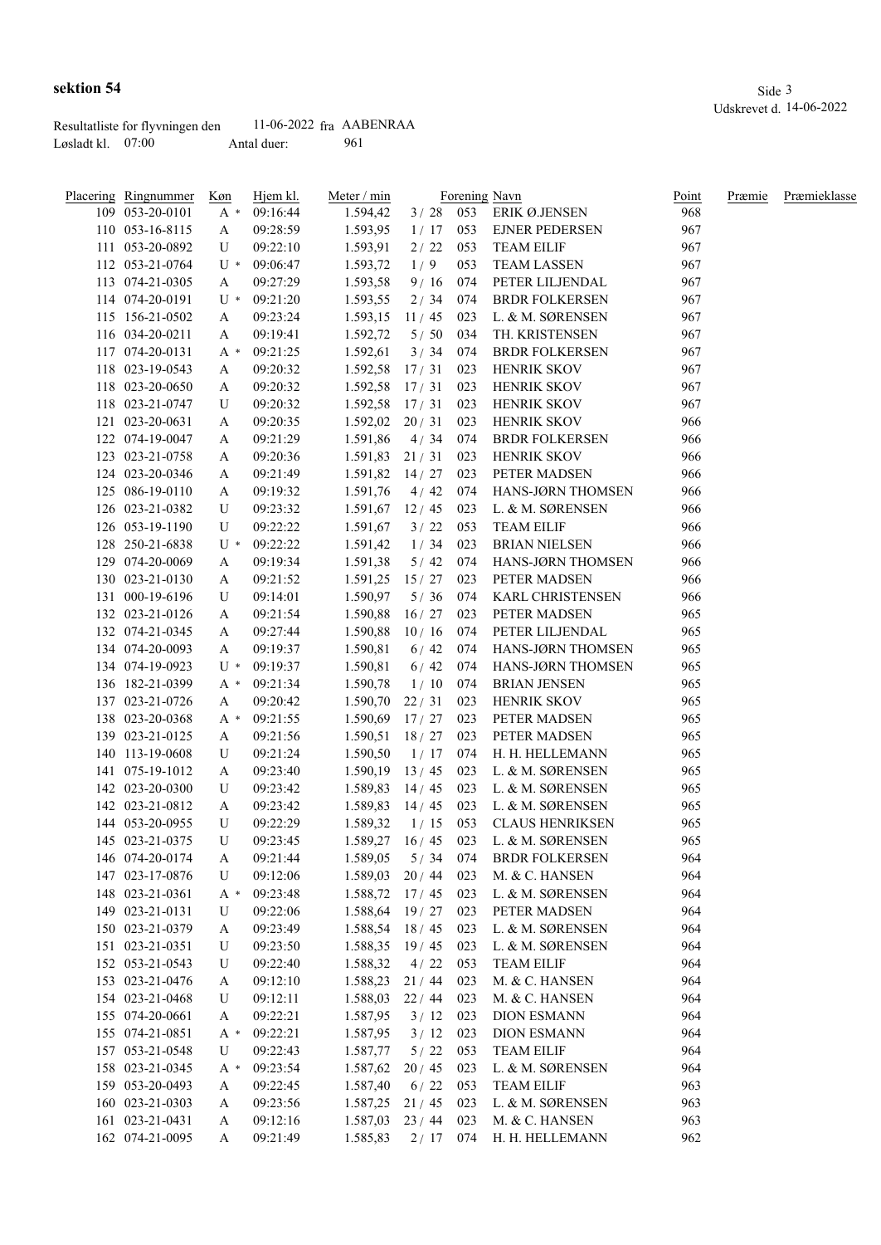|                     | Resultatliste for flyvningen den | $11-06-2022$ fra AABENRAA |     |
|---------------------|----------------------------------|---------------------------|-----|
| Løsladt kl. $07:00$ |                                  | Antal duer:               | 961 |

| Placering Ringnummer | Køn   | Hjem kl. | Meter / min        |            |     | Forening Navn          | Point | Præmie | Præmieklasse |
|----------------------|-------|----------|--------------------|------------|-----|------------------------|-------|--------|--------------|
| 109 053-20-0101      | A *   | 09:16:44 | 1.594,42           | $3/28$ 053 |     | ERIK Ø.JENSEN          | 968   |        |              |
| 110 053-16-8115      | A     | 09:28:59 | 1.593,95           | 1/17       | 053 | <b>EJNER PEDERSEN</b>  | 967   |        |              |
| 111 053-20-0892      | U     | 09:22:10 | 1.593,91           | 2/22       | 053 | <b>TEAM EILIF</b>      | 967   |        |              |
| 112 053-21-0764      | $U^*$ | 09:06:47 | 1.593,72           | 1/9        | 053 | <b>TEAM LASSEN</b>     | 967   |        |              |
| 113 074-21-0305      | A     | 09:27:29 | 1.593,58           | 9/16       | 074 | PETER LILJENDAL        | 967   |        |              |
| 114 074-20-0191      | $U^*$ | 09:21:20 | 1.593,55           | 2/34       | 074 | <b>BRDR FOLKERSEN</b>  | 967   |        |              |
| 115 156-21-0502      | A     | 09:23:24 | 1.593,15           | 11/45      | 023 | L. & M. SØRENSEN       | 967   |        |              |
| 116 034-20-0211      | A     | 09:19:41 | 1.592,72           | 5/50       | 034 | TH. KRISTENSEN         | 967   |        |              |
| 117 074-20-0131      | A *   | 09:21:25 | 1.592,61           | 3/34       | 074 | <b>BRDR FOLKERSEN</b>  | 967   |        |              |
| 118 023-19-0543      | A     | 09:20:32 | 1.592,58           | 17/31      | 023 | HENRIK SKOV            | 967   |        |              |
| 118 023-20-0650      | A     | 09:20:32 | 1.592,58           | 17/31      | 023 | HENRIK SKOV            | 967   |        |              |
| 118 023-21-0747      | U     | 09:20:32 | 1.592,58           | 17/31      | 023 | HENRIK SKOV            | 967   |        |              |
| 121 023-20-0631      | A     | 09:20:35 | 1.592,02           | 20/31      | 023 | <b>HENRIK SKOV</b>     | 966   |        |              |
| 122 074-19-0047      | A     | 09:21:29 | 1.591,86           | 4/34       | 074 | <b>BRDR FOLKERSEN</b>  | 966   |        |              |
| 123 023-21-0758      | A     | 09:20:36 | 1.591,83           | 21/31      | 023 | <b>HENRIK SKOV</b>     | 966   |        |              |
| 124 023-20-0346      | A     | 09:21:49 | 1.591,82           | 14/27      | 023 | PETER MADSEN           | 966   |        |              |
| 125 086-19-0110      | A     | 09:19:32 | 1.591,76           | 4/42       | 074 | HANS-JØRN THOMSEN      | 966   |        |              |
| 126 023-21-0382      | U     | 09:23:32 | 1.591,67           | 12/45      | 023 | L. & M. SØRENSEN       | 966   |        |              |
| 126 053-19-1190      | U     | 09:22:22 | 1.591,67           | 3/22       | 053 | <b>TEAM EILIF</b>      | 966   |        |              |
| 128 250-21-6838      | $U^*$ | 09:22:22 | 1.591,42           | 1/34       | 023 | <b>BRIAN NIELSEN</b>   | 966   |        |              |
| 129 074-20-0069      | A     | 09:19:34 | 1.591,38           | 5/42       | 074 | HANS-JØRN THOMSEN      | 966   |        |              |
| 130 023-21-0130      | A     | 09:21:52 | 1.591,25           | 15/27      | 023 | PETER MADSEN           | 966   |        |              |
| 131 000-19-6196      | U     | 09:14:01 | 1.590,97           | 5/36       | 074 | KARL CHRISTENSEN       | 966   |        |              |
| 132 023-21-0126      | A     | 09:21:54 | 1.590,88           | 16/27      | 023 | PETER MADSEN           | 965   |        |              |
| 132 074-21-0345      | A     | 09:27:44 | 1.590,88           | 10/16      | 074 | PETER LILJENDAL        | 965   |        |              |
| 134 074-20-0093      |       | 09:19:37 | 1.590,81           | 6/42       | 074 | HANS-JØRN THOMSEN      | 965   |        |              |
|                      | A     |          |                    |            | 074 |                        | 965   |        |              |
| 134 074-19-0923      | $U^*$ | 09:19:37 | 1.590,81           | 6/42       |     | HANS-JØRN THOMSEN      |       |        |              |
| 136 182-21-0399      | A *   | 09:21:34 | 1.590,78           | 1/10       | 074 | <b>BRIAN JENSEN</b>    | 965   |        |              |
| 137 023-21-0726      | A     | 09:20:42 | 1.590,70           | 22/31      | 023 | <b>HENRIK SKOV</b>     | 965   |        |              |
| 138 023-20-0368      | A *   | 09:21:55 | 1.590,69           | 17/27      | 023 | PETER MADSEN           | 965   |        |              |
| 139 023-21-0125      | A     | 09:21:56 | 1.590,51           | 18/27      | 023 | PETER MADSEN           | 965   |        |              |
| 140 113-19-0608      | U     | 09:21:24 | 1.590,50           | 1/17       | 074 | H. H. HELLEMANN        | 965   |        |              |
| 141 075-19-1012      | A     | 09:23:40 | 1.590,19           | 13/45      | 023 | L. & M. SØRENSEN       | 965   |        |              |
| 142 023-20-0300      | U     | 09:23:42 | 1.589,83           | 14/45      | 023 | L. & M. SØRENSEN       | 965   |        |              |
| 142 023-21-0812      | A     | 09:23:42 | 1.589,83           | 14/45      | 023 | L. & M. SØRENSEN       | 965   |        |              |
| 144 053-20-0955      | U     | 09:22:29 | 1.589,32           | 1/15       | 053 | <b>CLAUS HENRIKSEN</b> | 965   |        |              |
| 145 023-21-0375      | U     | 09:23:45 | 1.589,27 16/45 023 |            |     | L. & M. SØRENSEN       | 965   |        |              |
| 146 074-20-0174      | A     | 09:21:44 | 1.589,05           | 5/34       | 074 | <b>BRDR FOLKERSEN</b>  | 964   |        |              |
| 147 023-17-0876      | U     | 09:12:06 | 1.589,03           | 20/44      | 023 | M. & C. HANSEN         | 964   |        |              |
| 148 023-21-0361      | A *   | 09:23:48 | 1.588,72 17/45 023 |            |     | L. & M. SØRENSEN       | 964   |        |              |
| 149 023-21-0131      | U     | 09:22:06 | $1.588,64$ 19 / 27 |            | 023 | PETER MADSEN           | 964   |        |              |
| 150 023-21-0379      | A     | 09:23:49 | $1.588,54$ 18 / 45 |            | 023 | L. & M. SØRENSEN       | 964   |        |              |
| 151 023-21-0351      | U     | 09:23:50 | 1.588,35           | 19/45      | 023 | L. & M. SØRENSEN       | 964   |        |              |
| 152 053-21-0543      | U     | 09:22:40 | 1.588,32           | 4/22       | 053 | <b>TEAM EILIF</b>      | 964   |        |              |
| 153 023-21-0476      | A     | 09:12:10 | 1.588,23           | 21/44      | 023 | M. & C. HANSEN         | 964   |        |              |
| 154 023-21-0468      | U     | 09:12:11 | 1.588,03           | 22 / 44    | 023 | M. & C. HANSEN         | 964   |        |              |
| 155 074-20-0661      | A     | 09:22:21 | 1.587,95           | 3/12       | 023 | <b>DION ESMANN</b>     | 964   |        |              |
| 155 074-21-0851      | A *   | 09:22:21 | 1.587,95           | 3/12       | 023 | <b>DION ESMANN</b>     | 964   |        |              |
| 157 053-21-0548      | U     | 09:22:43 | 1.587,77           | $5/22$     | 053 | <b>TEAM EILIF</b>      | 964   |        |              |
| 158 023-21-0345      | A *   | 09:23:54 | 1.587,62           | 20/45      | 023 | L. & M. SØRENSEN       | 964   |        |              |
| 159 053-20-0493      | A     | 09:22:45 | 1.587,40           | 6/22       | 053 | <b>TEAM EILIF</b>      | 963   |        |              |
| 160 023-21-0303      | A     | 09:23:56 | 1.587,25           | 21/45      | 023 | L. & M. SØRENSEN       | 963   |        |              |
| 161 023-21-0431      | A     | 09:12:16 | $1.587,03$ 23/44   |            | 023 | M. & C. HANSEN         | 963   |        |              |
| 162 074-21-0095      | A     | 09:21:49 | 1.585,83           | $2/17$ 074 |     | H. H. HELLEMANN        | 962   |        |              |
|                      |       |          |                    |            |     |                        |       |        |              |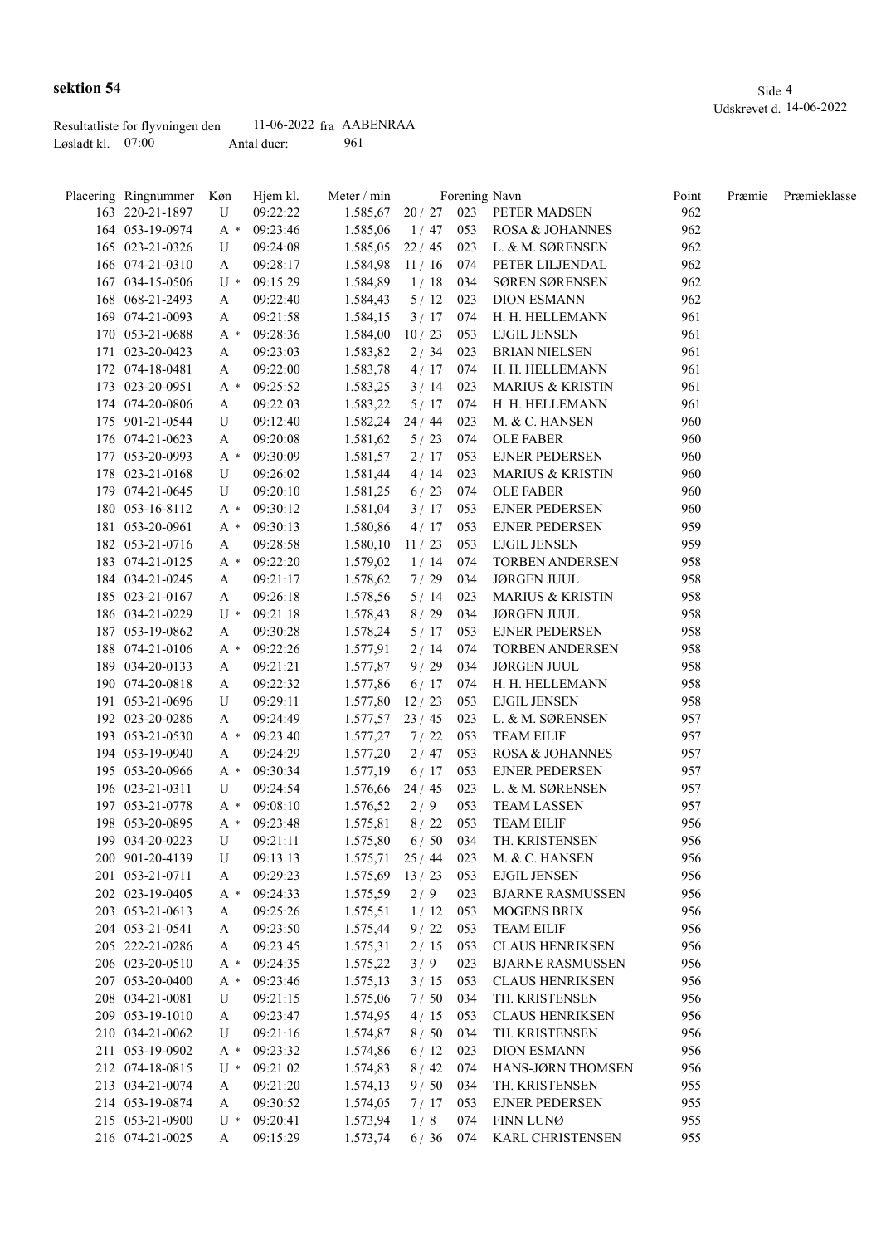|                   | Resultatliste for flyvningen den | $11-06-2022$ fra AABENRAA |     |
|-------------------|----------------------------------|---------------------------|-----|
| Løsladt kl. 07:00 |                                  | Antal duer:               | 961 |

| Placering Ringnummer<br>163 220-21-1897 | Køn<br>U | Hjem kl.<br>09:22:22 | Meter / min<br>1.585,67 | 20/27 | 023 | Forening Navn<br>PETER MADSEN | Point<br>962 | Præmie | Præmieklasse |
|-----------------------------------------|----------|----------------------|-------------------------|-------|-----|-------------------------------|--------------|--------|--------------|
| 164 053-19-0974                         | $A^*$    | 09:23:46             | 1.585,06                | 1/47  | 053 | ROSA & JOHANNES               | 962          |        |              |
| 165 023-21-0326                         | U        | 09:24:08             | 1.585,05                | 22/45 | 023 | L. & M. SØRENSEN              | 962          |        |              |
| 166 074-21-0310                         | A        | 09:28:17             | 1.584,98                | 11/16 | 074 | PETER LILJENDAL               | 962          |        |              |
| 167 034-15-0506                         | U *      | 09:15:29             | 1.584,89                | 1/18  | 034 | SØREN SØRENSEN                | 962          |        |              |
| 168 068-21-2493                         | A        | 09:22:40             | 1.584,43                | 5/12  | 023 | <b>DION ESMANN</b>            | 962          |        |              |
| 169 074-21-0093                         | A        | 09:21:58             | 1.584,15                | 3/17  | 074 | H. H. HELLEMANN               | 961          |        |              |
| 170 053-21-0688                         | A *      | 09:28:36             | 1.584,00                | 10/23 | 053 | <b>EJGIL JENSEN</b>           | 961          |        |              |
| 171 023-20-0423                         | A        | 09:23:03             | 1.583,82                | 2/34  | 023 | <b>BRIAN NIELSEN</b>          | 961          |        |              |
| 172 074-18-0481                         | A        | 09:22:00             | 1.583,78                | 4/17  | 074 | H. H. HELLEMANN               | 961          |        |              |
| 173 023-20-0951                         | $A^*$    | 09:25:52             | 1.583,25                | 3/14  | 023 | <b>MARIUS &amp; KRISTIN</b>   | 961          |        |              |
| 174 074-20-0806                         | A        | 09:22:03             | 1.583,22                | 5/17  | 074 | H. H. HELLEMANN               | 961          |        |              |
| 175 901-21-0544                         | U        | 09:12:40             | 1.582,24                | 24/44 | 023 | M. & C. HANSEN                | 960          |        |              |
| 176 074-21-0623                         | A        | 09:20:08             | 1.581,62                | 5/23  | 074 | <b>OLE FABER</b>              | 960          |        |              |
| 177 053-20-0993                         | $A^*$    | 09:30:09             | 1.581,57                | 2/17  | 053 | <b>EJNER PEDERSEN</b>         | 960          |        |              |
| 178 023-21-0168                         | U        | 09:26:02             | 1.581,44                | 4/14  | 023 | MARIUS & KRISTIN              | 960          |        |              |
| 179 074-21-0645                         | U        | 09:20:10             | 1.581,25                | 6/23  | 074 | <b>OLE FABER</b>              | 960          |        |              |
| 180 053-16-8112                         | $A^*$    | 09:30:12             | 1.581,04                | 3/17  | 053 | <b>EJNER PEDERSEN</b>         | 960          |        |              |
| 181 053-20-0961                         | A *      | 09:30:13             | 1.580,86                | 4/17  | 053 | <b>EJNER PEDERSEN</b>         | 959          |        |              |
| 182 053-21-0716                         | A        | 09:28:58             | 1.580,10                | 11/23 | 053 | <b>EJGIL JENSEN</b>           | 959          |        |              |
| 183 074-21-0125                         | $A^*$    | 09:22:20             | 1.579,02                | 1/14  | 074 | <b>TORBEN ANDERSEN</b>        | 958          |        |              |
| 184 034-21-0245                         | A        | 09:21:17             | 1.578,62                | 7/29  | 034 | <b>JØRGEN JUUL</b>            | 958          |        |              |
| 185 023-21-0167                         | A        | 09:26:18             | 1.578,56                | 5/14  | 023 | <b>MARIUS &amp; KRISTIN</b>   | 958          |        |              |
| 186 034-21-0229                         | U *      | 09:21:18             | 1.578,43                | 8/29  | 034 | <b>JØRGEN JUUL</b>            | 958          |        |              |
| 187 053-19-0862                         | A        | 09:30:28             | 1.578,24                | 5/17  | 053 | <b>EJNER PEDERSEN</b>         | 958          |        |              |
| 188 074-21-0106                         | A *      | 09:22:26             | 1.577,91                | 2/14  | 074 | <b>TORBEN ANDERSEN</b>        | 958          |        |              |
| 189 034-20-0133                         | A        | 09:21:21             | 1.577,87                | 9/29  | 034 | <b>JØRGEN JUUL</b>            | 958          |        |              |
| 190 074-20-0818                         | A        | 09:22:32             | 1.577,86                | 6/17  | 074 | H. H. HELLEMANN               | 958          |        |              |
| 191 053-21-0696                         | U        | 09:29:11             | 1.577,80                | 12/23 | 053 | <b>EJGIL JENSEN</b>           | 958          |        |              |
| 192 023-20-0286                         | A        | 09:24:49             | 1.577,57                | 23/45 | 023 | L. & M. SØRENSEN              | 957          |        |              |
| 193 053-21-0530                         | $A^*$    | 09:23:40             | 1.577,27                | 7/22  | 053 | <b>TEAM EILIF</b>             | 957          |        |              |
| 194 053-19-0940                         | A        | 09:24:29             | 1.577,20                | 2/47  | 053 | <b>ROSA &amp; JOHANNES</b>    | 957          |        |              |
| 195 053-20-0966                         | $A^*$    | 09:30:34             | 1.577,19                | 6/17  | 053 | <b>EJNER PEDERSEN</b>         | 957          |        |              |
| 196 023-21-0311                         | U        | 09:24:54             | 1.576,66                | 24/45 | 023 | L. & M. SØRENSEN              | 957          |        |              |
| 197 053-21-0778                         | A *      | 09:08:10             | 1.576,52                | 2/9   | 053 | <b>TEAM LASSEN</b>            | 957          |        |              |
| 198 053-20-0895                         | $A^*$    | 09:23:48             | 1.575,81                | 8/22  | 053 | <b>TEAM EILIF</b>             | 956          |        |              |

| 193 053-21-0530 | A *          | 09:23:40       | 1.511,21              | 1/22  | U <sub>23</sub> | TEAM EILIF                | 937 |
|-----------------|--------------|----------------|-----------------------|-------|-----------------|---------------------------|-----|
| 194 053-19-0940 | A            | 09:24:29       | 1.577,20              | 2/47  | 053             | ROSA & JOHANNES           | 957 |
| 195 053-20-0966 | $A^*$        | 09:30:34       | $1.577,19$ 6/17       |       | 053             | EJNER PEDERSEN            | 957 |
| 196 023-21-0311 | $\mathbf U$  | 09:24:54       | $1.576,66$ 24 / 45    |       | 023             | L. & M. SØRENSEN          | 957 |
| 197 053-21-0778 | A *          | 09:08:10       | $1.576,52 \qquad 2/9$ |       | 053             | <b>TEAM LASSEN</b>        | 957 |
| 198 053-20-0895 | $A^*$        | 09:23:48       | 1.575,81              | 8/22  | 053             | <b>TEAM EILIF</b>         | 956 |
| 199 034-20-0223 | U            | 09:21:11       | $1.575,80$ 6/50       |       | 034             | TH. KRISTENSEN            | 956 |
| 200 901-20-4139 | U            | 09:13:13       | 1.575,71              | 25/44 | 023             | M. & C. HANSEN            | 956 |
| 201 053-21-0711 | $\mathbf{A}$ | 09:29:23       | $1.575.69$ 13 / 23    |       | 053             | <b>EJGIL JENSEN</b>       | 956 |
| 202 023-19-0405 | $A^*$        | 09:24:33       | $1.575,59$ 2/9        |       | 023             | BJARNE RASMUSSEN          | 956 |
| 203 053-21-0613 | A            | 09:25:26       | 1.575,51              | 1/12  | 053             | <b>MOGENS BRIX</b>        | 956 |
| 204 053-21-0541 | A            | 09:23:50       | 1.575,44              | 9/22  | 053             | TEAM EILIF                | 956 |
| 205 222-21-0286 | $\mathbf{A}$ | 09:23:45       | 1.575,31              | 2/15  | 053             | CLAUS HENRIKSEN           | 956 |
| 206 023-20-0510 |              | $A * 09:24:35$ | 1.575,22              | 3/9   | 023             | BJARNE RASMUSSEN          | 956 |
| 207 053-20-0400 | $A^*$        | 09:23:46       | 1.575,13              | 3/15  | 053             | CLAUS HENRIKSEN           | 956 |
| 208 034-21-0081 | U            | 09:21:15       | 1.575,06              | 7/50  | 034             | TH. KRISTENSEN            | 956 |
| 209 053-19-1010 | A            | 09:23:47       | 1.574,95              | 4/15  | 053             | CLAUS HENRIKSEN           | 956 |
| 210 034-21-0062 | U            | 09:21:16       | 1.574,87              | 8/50  | 034             | TH. KRISTENSEN            | 956 |
| 211 053-19-0902 |              | $A * 09:23:32$ | 1.574,86              | 6/12  | 023             | <b>DION ESMANN</b>        | 956 |
| 212 074-18-0815 | $U^*$        | 09:21:02       | 1.574,83              | 8/42  | 074             | HANS-JØRN THOMSEN         | 956 |
| 213 034-21-0074 | A            | 09:21:20       | 1.574,13              | 9/50  | 034             | TH. KRISTENSEN            | 955 |
| 214 053-19-0874 | $\mathbf{A}$ | 09:30:52       | 1.574,05              | 7/17  | 053             | EJNER PEDERSEN            | 955 |
| 215 053-21-0900 | $U^*$        | 09:20:41       | 1.573,94              | 1/8   | 074             | FINN LUNØ                 | 955 |
| 216 074-21-0025 | $\mathbf{A}$ | 09:15:29       | 1.573,74              |       |                 | 6/36 074 KARL CHRISTENSEN | 955 |